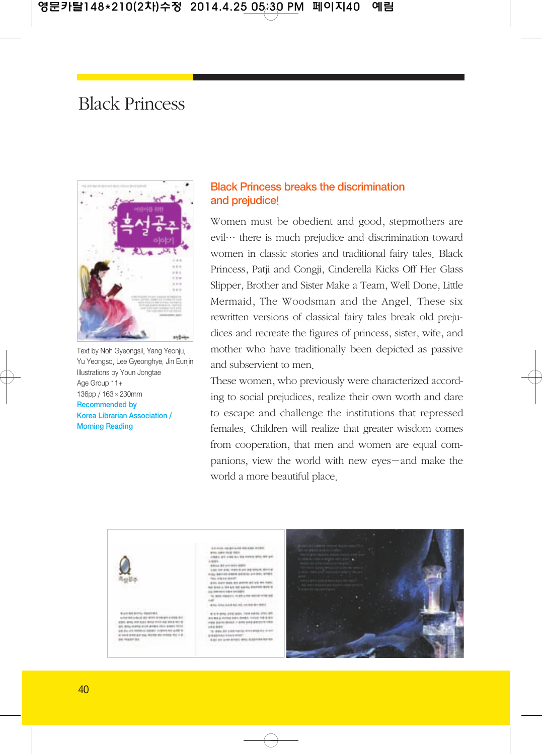## Black Princess



Text by Noh Gyeongsil, Yang Yeonju, Yu Yeongso, Lee Gyeonghye, Jin Eunjin Illustrations by Youn Jongtae Age Group 11+ 136pp / 163×230mm Recommended by Korea Librarian Association / Morning Reading

## Black Princess breaks the discrimination and prejudice!

Women must be obedient and good, stepmothers are evil… there is much prejudice and discrimination toward women in classic stories and traditional fairy tales. Black Princess, Patji and Congji, Cinderella Kicks Off Her Glass Slipper, Brother and Sister Make a Team, Well Done, Little Mermaid, The Woodsman and the Angel. These six rewritten versions of classical fairy tales break old prejudices and recreate the figures of princess, sister, wife, and mother who have traditionally been depicted as passive and subservient to men.

These women, who previously were characterized according to social prejudices, realize their own worth and dare to escape and challenge the institutions that repressed females. Children will realize that greater wisdom comes from cooperation, that men and women are equal companions, view the world with new eyes-and make the world a more beautiful place.